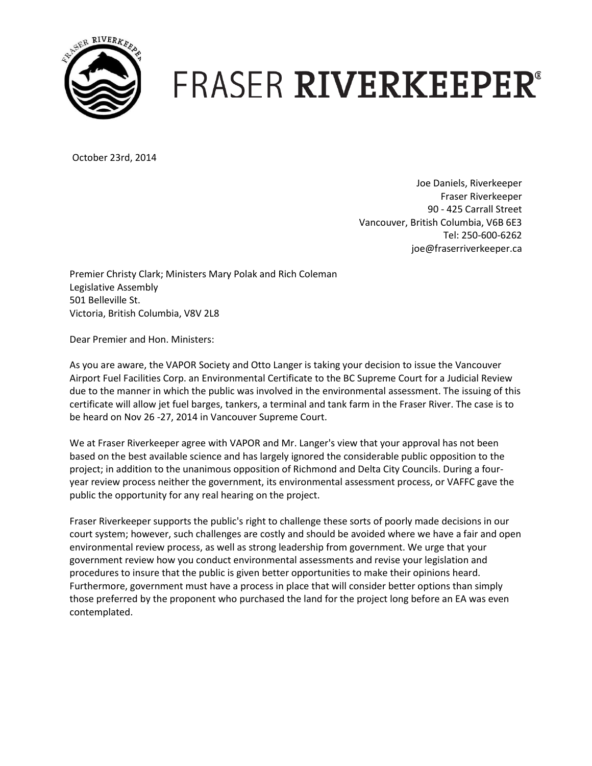

## **FRASER RIVERKEEPER®**

October 23rd, 2014

Joe Daniels, Riverkeeper Fraser Riverkeeper 90 - 425 Carrall Street Vancouver, British Columbia, V6B 6E3 Tel: 250-600-6262 joe@fraserriverkeeper.ca

Premier Christy Clark; Ministers Mary Polak and Rich Coleman Legislative Assembly 501 Belleville St. Victoria, British Columbia, V8V 2L8

Dear Premier and Hon. Ministers:

As you are aware, the VAPOR Society and Otto Langer is taking your decision to issue the Vancouver Airport Fuel Facilities Corp. an Environmental Certificate to the BC Supreme Court for a Judicial Review due to the manner in which the public was involved in the environmental assessment. The issuing of this certificate will allow jet fuel barges, tankers, a terminal and tank farm in the Fraser River. The case is to be heard on Nov 26 -27, 2014 in Vancouver Supreme Court.

We at Fraser Riverkeeper agree with VAPOR and Mr. Langer's view that your approval has not been based on the best available science and has largely ignored the considerable public opposition to the project; in addition to the unanimous opposition of Richmond and Delta City Councils. During a fouryear review process neither the government, its environmental assessment process, or VAFFC gave the public the opportunity for any real hearing on the project.

Fraser Riverkeeper supports the public's right to challenge these sorts of poorly made decisions in our court system; however, such challenges are costly and should be avoided where we have a fair and open environmental review process, as well as strong leadership from government. We urge that your government review how you conduct environmental assessments and revise your legislation and procedures to insure that the public is given better opportunities to make their opinions heard. Furthermore, government must have a process in place that will consider better options than simply those preferred by the proponent who purchased the land for the project long before an EA was even contemplated.